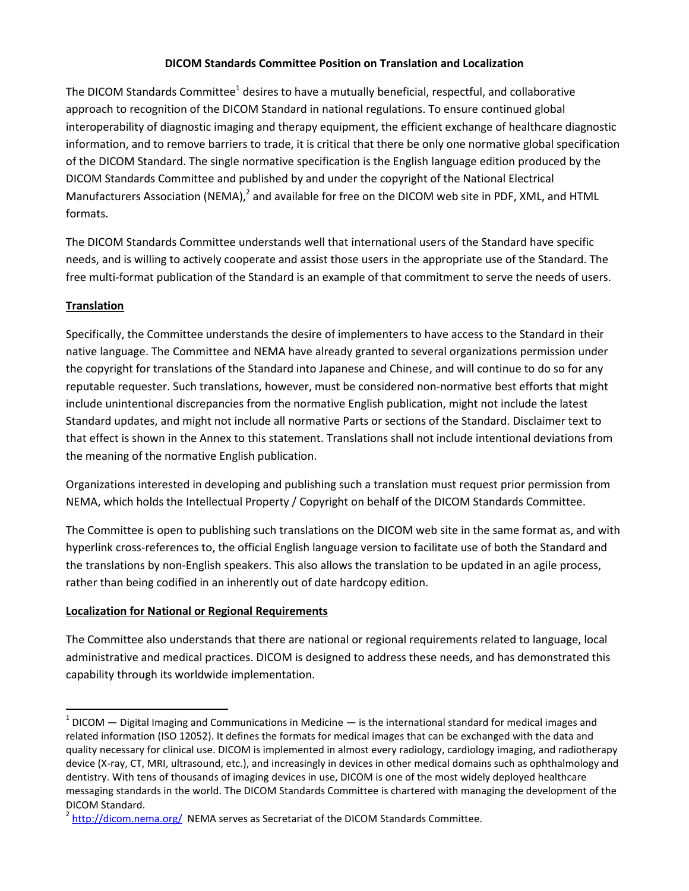### **DICOM Standards Committee Position on Translation and Localization**

The DICOM Standards Committee<sup>1</sup> desires to have a mutually beneficial, respectful, and collaborative approach to recognition of the DICOM Standard in national regulations. To ensure continued global interoperability of diagnostic imaging and therapy equipment, the efficient exchange of healthcare diagnostic information, and to remove barriers to trade, it is critical that there be only one normative global specification of the DICOM Standard. The single normative specification is the English language edition produced by the DICOM Standards Committee and published by and under the copyright of the National Electrical Manufacturers Association (NEMA),<sup>2</sup> and available for free on the DICOM web site in PDF, XML, and HTML formats.

The DICOM Standards Committee understands well that international users of the Standard have specific needs, and is willing to actively cooperate and assist those users in the appropriate use of the Standard. The free multi-format publication of the Standard is an example of that commitment to serve the needs of users.

### **Translation**

 $\overline{\phantom{a}}$ 

Specifically, the Committee understands the desire of implementers to have access to the Standard in their native language. The Committee and NEMA have already granted to several organizations permission under the copyright for translations of the Standard into Japanese and Chinese, and will continue to do so for any reputable requester. Such translations, however, must be considered non-normative best efforts that might include unintentional discrepancies from the normative English publication, might not include the latest Standard updates, and might not include all normative Parts or sections of the Standard. Disclaimer text to that effect is shown in the Annex to this statement. Translations shall not include intentional deviations from the meaning of the normative English publication.

Organizations interested in developing and publishing such a translation must request prior permission from NEMA, which holds the Intellectual Property / Copyright on behalf of the DICOM Standards Committee.

The Committee is open to publishing such translations on the DICOM web site in the same format as, and with hyperlink cross-references to, the official English language version to facilitate use of both the Standard and the translations by non-English speakers. This also allows the translation to be updated in an agile process, rather than being codified in an inherently out of date hardcopy edition.

#### **Localization for National or Regional Requirements**

The Committee also understands that there are national or regional requirements related to language, local administrative and medical practices. DICOM is designed to address these needs, and has demonstrated this capability through its worldwide implementation.

 $1$  DICOM  $-$  Digital Imaging and Communications in Medicine  $-$  is the international standard for medical images and related information (ISO 12052). It defines the formats for medical images that can be exchanged with the data and quality necessary for clinical use. DICOM is implemented in almost every radiology, cardiology imaging, and radiotherapy device (X-ray, CT, MRI, ultrasound, etc.), and increasingly in devices in other medical domains such as ophthalmology and dentistry. With tens of thousands of imaging devices in use, DICOM is one of the most widely deployed healthcare messaging standards in the world. The DICOM Standards Committee is chartered with managing the development of the DICOM Standard.

<sup>&</sup>lt;sup>2</sup> <http://dicom.nema.org/> NEMA serves as Secretariat of the DICOM Standards Committee.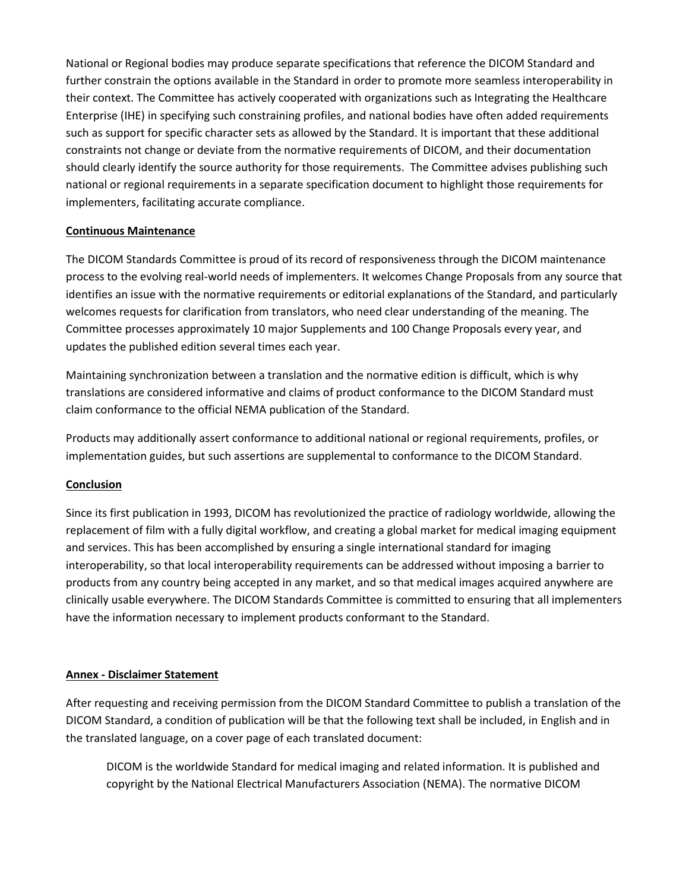National or Regional bodies may produce separate specifications that reference the DICOM Standard and further constrain the options available in the Standard in order to promote more seamless interoperability in their context. The Committee has actively cooperated with organizations such as Integrating the Healthcare Enterprise (IHE) in specifying such constraining profiles, and national bodies have often added requirements such as support for specific character sets as allowed by the Standard. It is important that these additional constraints not change or deviate from the normative requirements of DICOM, and their documentation should clearly identify the source authority for those requirements. The Committee advises publishing such national or regional requirements in a separate specification document to highlight those requirements for implementers, facilitating accurate compliance.

### **Continuous Maintenance**

The DICOM Standards Committee is proud of its record of responsiveness through the DICOM maintenance process to the evolving real-world needs of implementers. It welcomes Change Proposals from any source that identifies an issue with the normative requirements or editorial explanations of the Standard, and particularly welcomes requests for clarification from translators, who need clear understanding of the meaning. The Committee processes approximately 10 major Supplements and 100 Change Proposals every year, and updates the published edition several times each year.

Maintaining synchronization between a translation and the normative edition is difficult, which is why translations are considered informative and claims of product conformance to the DICOM Standard must claim conformance to the official NEMA publication of the Standard.

Products may additionally assert conformance to additional national or regional requirements, profiles, or implementation guides, but such assertions are supplemental to conformance to the DICOM Standard.

# **Conclusion**

Since its first publication in 1993, DICOM has revolutionized the practice of radiology worldwide, allowing the replacement of film with a fully digital workflow, and creating a global market for medical imaging equipment and services. This has been accomplished by ensuring a single international standard for imaging interoperability, so that local interoperability requirements can be addressed without imposing a barrier to products from any country being accepted in any market, and so that medical images acquired anywhere are clinically usable everywhere. The DICOM Standards Committee is committed to ensuring that all implementers have the information necessary to implement products conformant to the Standard.

# **Annex - Disclaimer Statement**

After requesting and receiving permission from the DICOM Standard Committee to publish a translation of the DICOM Standard, a condition of publication will be that the following text shall be included, in English and in the translated language, on a cover page of each translated document:

DICOM is the worldwide Standard for medical imaging and related information. It is published and copyright by the National Electrical Manufacturers Association (NEMA). The normative DICOM